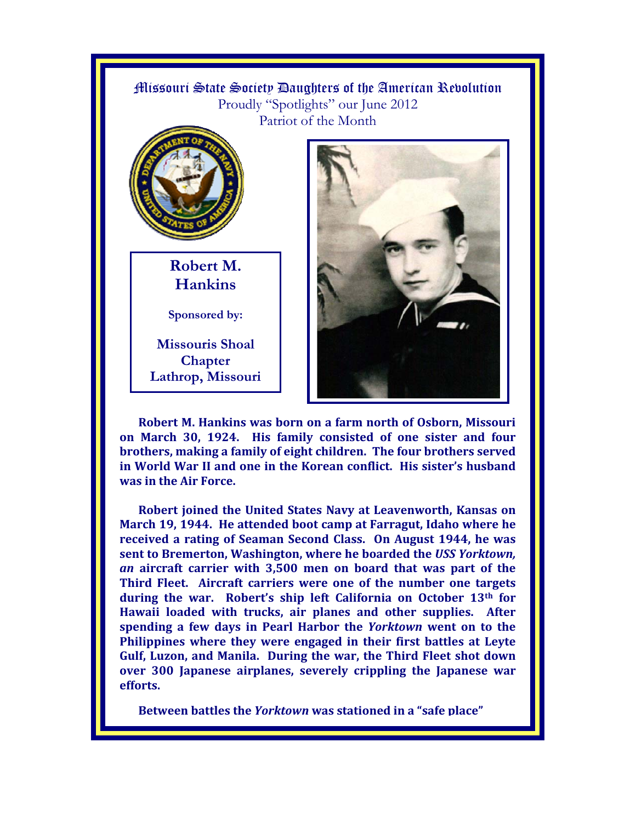

**Robert M. Hankins was born on a farm north of Osborn, Missouri on March 30, 1924. His family consisted of one sister and four brothers, making a family of eight children. The four brothers served in World War II and one in the Korean conflict. His sister's husband was in the Air Force.** 

**Robert joined the United States Navy at Leavenworth, Kansas on March 19, 1944. He attended boot camp at Farragut, Idaho where he received a rating of Seaman Second Class. On August 1944, he was sent to Bremerton, Washington, where he boarded the** *USS Yorktown, an* **aircraft carrier with 3,500 men on board that was part of the Third Fleet. Aircraft carriers were one of the number one targets during the war. Robert's ship left California on October 13th for Hawaii loaded with trucks, air planes and other supplies. After spending a few days in Pearl Harbor the** *Yorktown* **went on to the Philippines where they were engaged in their first battles at Leyte Gulf, Luzon, and Manila. During the war, the Third Fleet shot down over 300 Japanese airplanes, severely crippling the Japanese war efforts.** 

**Between battles the** *Yorktown* **was stationed in a "safe place"**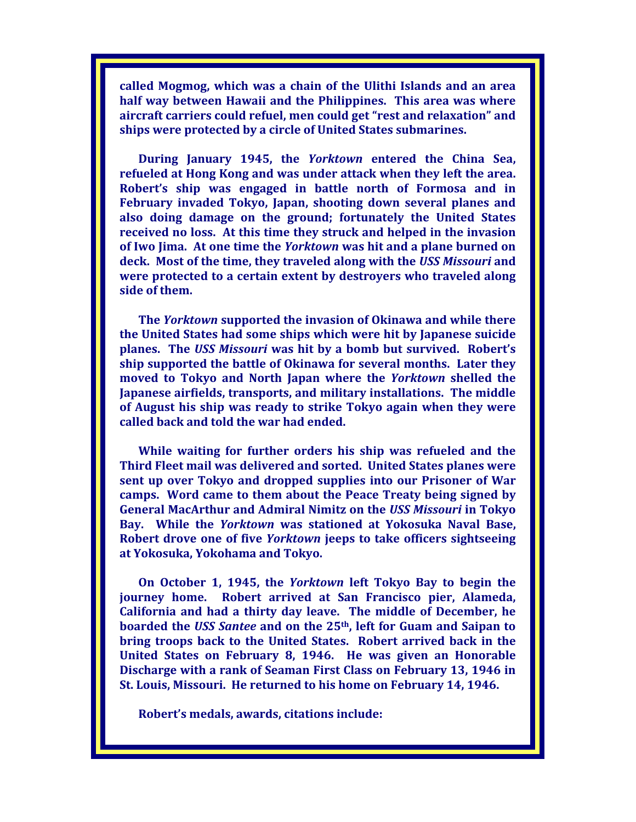**called Mogmog, which was a chain of the Ulithi Islands and an area half way between Hawaii and the Philippines. This area was where aircraft carriers could refuel, men could get "rest and relaxation" and ships were protected by a circle of United States submarines.** 

**During January 1945, the** *Yorktown* **entered the China Sea, refueled at Hong Kong and was under attack when they left the area. Robert's ship was engaged in battle north of Formosa and in February invaded Tokyo, Japan, shooting down several planes and also doing damage on the ground; fortunately the United States received no loss. At this time they struck and helped in the invasion of Iwo Jima. At one time the** *Yorktown* **was hit and a plane burned on deck. Most of the time, they traveled along with the** *USS Missouri* **and were protected to a certain extent by destroyers who traveled along side of them.** 

**The** *Yorktown* **supported the invasion of Okinawa and while there the United States had some ships which were hit by Japanese suicide planes. The** *USS Missouri* **was hit by a bomb but survived. Robert's ship supported the battle of Okinawa for several months. Later they moved to Tokyo and North Japan where the** *Yorktown* **shelled the Japanese airfields, transports, and military installations. The middle of August his ship was ready to strike Tokyo again when they were called back and told the war had ended.** 

**While waiting for further orders his ship was refueled and the Third Fleet mail was delivered and sorted. United States planes were sent up over Tokyo and dropped supplies into our Prisoner of War camps. Word came to them about the Peace Treaty being signed by General MacArthur and Admiral Nimitz on the** *USS Missouri* **in Tokyo Bay. While the** *Yorktown* **was stationed at Yokosuka Naval Base, Robert drove one of five** *Yorktown* **jeeps to take officers sightseeing at Yokosuka, Yokohama and Tokyo.** 

**On October 1, 1945, the** *Yorktown* **left Tokyo Bay to begin the journey home. Robert arrived at San Francisco pier, Alameda, California and had a thirty day leave. The middle of December, he boarded the** *USS Santee* **and on the 25th, left for Guam and Saipan to bring troops back to the United States. Robert arrived back in the United States on February 8, 1946. He was given an Honorable Discharge with a rank of Seaman First Class on February 13, 1946 in St. Louis, Missouri. He returned to his home on February 14, 1946.** 

**Robert's medals, awards, citations include:**